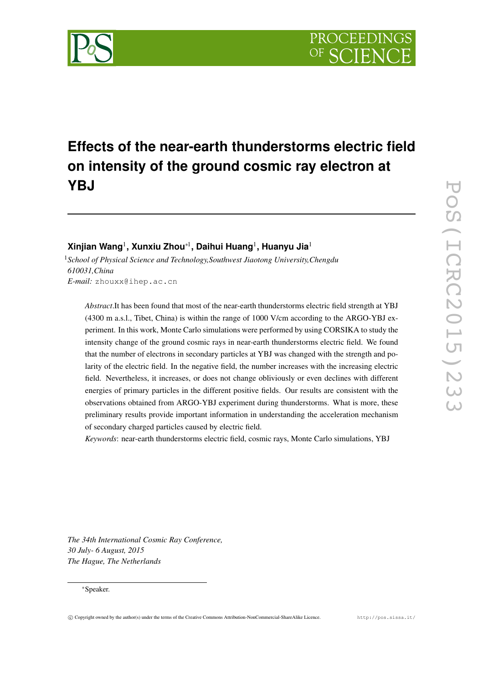# **Effects of the near-earth thunderstorms electric field on intensity of the ground cosmic ray electron at YBJ**

## **Xinjian Wang** <sup>1</sup>**, Xunxiu Zhou** ∗ <sup>1</sup>**, Daihui Huang** <sup>1</sup>**, Huanyu Jia** 1

<sup>1</sup>*School of Physical Science and Technology,Southwest Jiaotong University,Chengdu 610031,China E-mail:* zhouxx@ihep.ac.cn

*Abstract*.It has been found that most of the near-earth thunderstorms electric field strength at YBJ (4300 m a.s.l., Tibet, China) is within the range of 1000 V/cm according to the ARGO-YBJ experiment. In this work, Monte Carlo simulations were performed by using CORSIKA to study the intensity change of the ground cosmic rays in near-earth thunderstorms electric field. We found that the number of electrons in secondary particles at YBJ was changed with the strength and polarity of the electric field. In the negative field, the number increases with the increasing electric field. Nevertheless, it increases, or does not change obliviously or even declines with different energies of primary particles in the different positive fields. Our results are consistent with the observations obtained from ARGO-YBJ experiment during thunderstorms. What is more, these preliminary results provide important information in understanding the acceleration mechanism of secondary charged particles caused by electric field.

*Keywords*: near-earth thunderstorms electric field, cosmic rays, Monte Carlo simulations, YBJ

*The 34th International Cosmic Ray Conference, 30 July- 6 August, 2015 The Hague, The Netherlands*

#### ∗Speaker.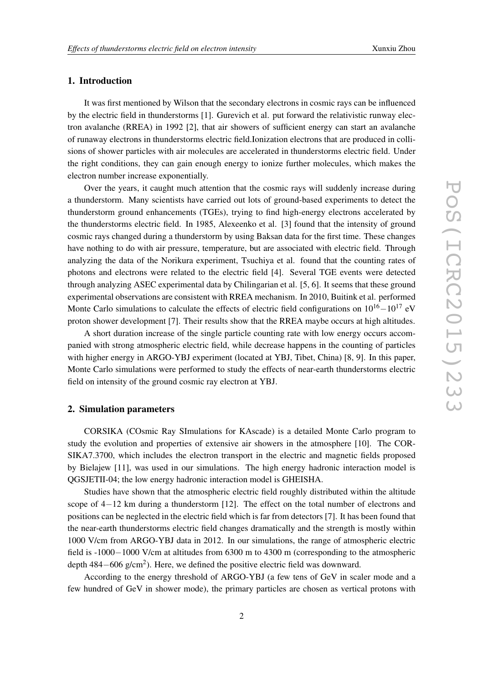### 1. Introduction

It was first mentioned by Wilson that the secondary electrons in cosmic rays can be influenced by the electric field in thunderstorms [ 1]. Gurevich et al. put forward the relativistic runway electron avalanche (RREA) in 1992 [2], that air showers of sufficient energy can start an avalanche of runaway electrons in thunderstorms electric field.Ionization electrons that are produced in collisions of shower particles with air molecules are accelerated in thunderstorms electric field. Under the right conditions, they can gain enough energy to ionize further molecules, which makes the electron number increase exponentially.

Over the years, it caught much attention that the cosmic rays will suddenly increase during a thunderstorm. Many scientists have carried out lots of ground-based experiments to detect the thunderstorm ground enhancements (TGEs), trying to find high-energy electrons accelerated by the thunderstorms electric field. In 1985, Alexeenko et al. [ 3] found that the intensity of ground cosmic rays changed during a thunderstorm by using Baksan data for the first time. These changes have nothing to do with air pressure, temperature, but are associated with electric field. Through analyzing the data of the Norikura experiment, Tsuchiya et al. found that the counting rates of photons and electrons were related to the electric field [ 4]. Several TGE events were detected through analyzing ASEC experimental data by Chilingarian et al. [ 5 , 6]. It seems that these ground experimental observations are consistent with RREA mechanism. In 2010, Buitink et al. performed Monte Carlo simulations to calculate the effects of electric field configurations on  $10^{16} - 10^{17}$  eV proton shower development [ 7]. Their results show that the RREA maybe occurs at high altitudes.

A short duration increase of the single particle counting rate with low energy occurs accompanied with strong atmospheric electric field, while decrease happens in the counting of particles with higher energy in ARGO-YBJ experiment (located at YBJ, Tibet, China) [8, 9]. In this paper, Monte Carlo simulations were performed to study the effects of near-earth thunderstorms electric field on intensity of the ground cosmic ray electron at YBJ.

#### 2. Simulation parameters

CORSIKA (COsmic Ray SImulations for KAscade) is a detailed Monte Carlo program to study the evolution and properties of extensive air showers in the atmosphere [10]. The COR-SIKA7.3700, which includes the electron transport in the electric and magnetic fields proposed by Bielajew [11], was used in our simulations. The high energy hadronic interaction model is QGSJETII-04; the low energy hadronic interaction model is GHEISHA.

Studies have shown that the atmospheric electric field roughly distributed within the altitude scope of 4–12 km during a thunderstorm [12]. The effect on the total number of electrons and positions can be neglected in the electric field which is far from detectors [ 7]. It has been found that the near-earth thunderstorms electric field changes dramatically and the strength is mostly within 1000 V/cm from ARGO-YBJ data in 2012. In our simulations, the range of atmospheric electric field is -1000−1000 V/cm at altitudes from 6300 m to 4300 m (corresponding to the atmospheric depth 484–606 g/cm<sup>2</sup>). Here, we defined the positive electric field was downward.

According to the energy threshold of ARGO-YBJ (a few tens of GeV in scaler mode and a few hundred of GeV in shower mode), the primary particles are chosen as vertical protons with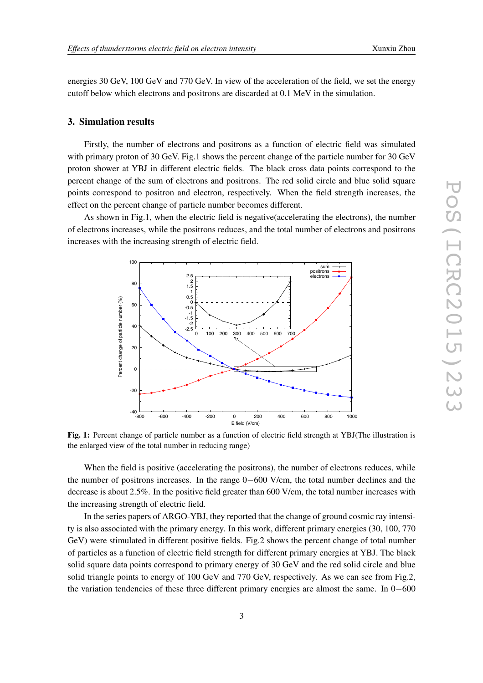energies 30 GeV, 100 GeV and 770 GeV. In view of the acceleration of the field, we set the energy cutoff below which electrons and positrons are discarded at 0.1 MeV in the simulation.

#### 3. Simulation results

Firstly, the number of electrons and positrons as a function of electric field was simulated with primary proton of 30 GeV. Fig.1 shows the percent change of the particle number for 30 GeV proton shower at YBJ in different electric fields. The black cross data points correspond to the percent change of the sum of electrons and positrons. The red solid circle and blue solid square points correspond to positron and electron, respectively. When the field strength increases, the effect on the percent change of particle number becomes different.

As shown in Fig.1, when the electric field is negative(accelerating the electrons), the number of electrons increases, while the positrons reduces, and the total number of electrons and positrons increases with the increasing strength of electric field.



Fig. 1: Percent change of particle number as a function of electric field strength at YBJ(The illustration is the enlarged view of the total number in reducing range)

When the field is positive (accelerating the positrons), the number of electrons reduces, while the number of positrons increases. In the range 0–600 V/cm, the total number declines and the decrease is about 2.5%. In the positive field greater than 600 V/cm, the total number increases with the increasing strength of electric field.

In the series papers of ARGO-YBJ, they reported that the change of ground cosmic ray intensity is also associated with the primary energy. In this work, different primary energies (30, 100, 770 GeV) were stimulated in different positive fields. Fig.2 shows the percent change of total number of particles as a function of electric field strength for different primary energies at YBJ. The black solid square data points correspond to primary energy of 30 GeV and the red solid circle and blue solid triangle points to energy of 100 GeV and 770 GeV, respectively. As we can see from Fig.2, the variation tendencies of these three different primary energies are almost the same. In 0–600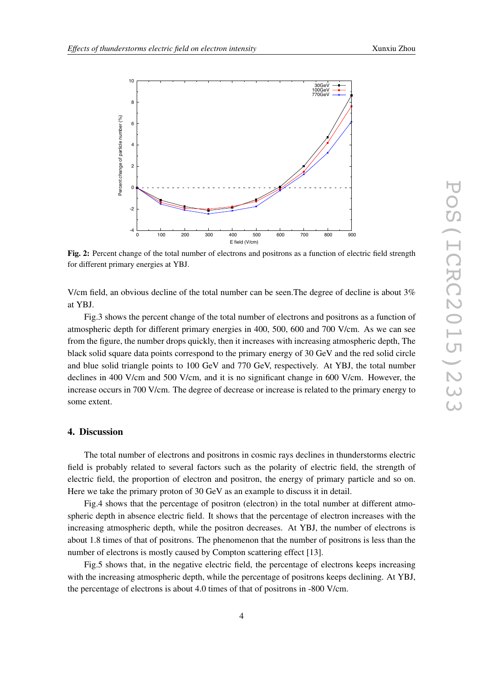

Fig. 2: Percent change of the total number of electrons and positrons as a function of electric field strength for different primary energies at YBJ.

V/cm field, an obvious decline of the total number can be seen.The degree of decline is about 3% at YBJ.

Fig.3 shows the percent change of the total number of electrons and positrons as a function of atmospheric depth for different primary energies in 400, 500, 600 and 700 V/cm. As we can see from the figure, the number drops quickly, then it increases with increasing atmospheric depth, The black solid square data points correspond to the primary energy of 30 GeV and the red solid circle and blue solid triangle points to 100 GeV and 770 GeV, respectively. At YBJ, the total number declines in 400 V/cm and 500 V/cm, and it is no significant change in 600 V/cm. However, the increase occurs in 700 V/cm. The degree of decrease or increase is related to the primary energy to some extent.

#### 4. Discussion

The total number of electrons and positrons in cosmic rays declines in thunderstorms electric field is probably related to several factors such as the polarity of electric field, the strength of electric field, the proportion of electron and positron, the energy of primary particle and so on. Here we take the primary proton of 30 GeV as an example to discuss it in detail.

Fig.4 shows that the percentage of positron (electron) in the total number at different atmospheric depth in absence electric field. It shows that the percentage of electron increases with the increasing atmospheric depth, while the positron decreases. At YBJ, the number of electrons is about 1.8 times of that of positrons. The phenomenon that the number of positrons is less than the number of electrons is mostly caused by Compton scattering effect [13].

Fig.5 shows that, in the negative electric field, the percentage of electrons keeps increasing with the increasing atmospheric depth, while the percentage of positrons keeps declining. At YBJ, the percentage of electrons is about 4.0 times of that of positrons in -800 V/cm.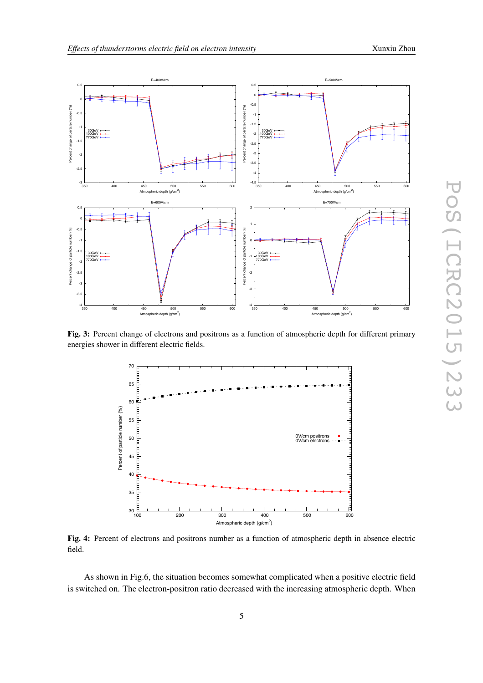

Fig. 3: Percent change of electrons and positrons as a function of atmospheric depth for different primary energies shower in different electric fields.



Fig. 4: Percent of electrons and positrons number as a function of atmospheric depth in absence electric field.

As shown in Fig.6, the situation becomes somewhat complicated when a positive electric field is switched on. The electron-positron ratio decreased with the increasing atmospheric depth. When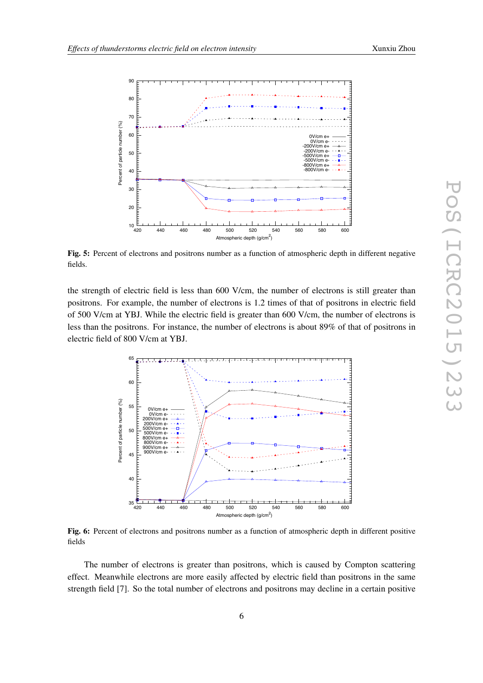

Fig. 5: Percent of electrons and positrons number as a function of atmospheric depth in different negative fields.

the strength of electric field is less than 600 V/cm, the number of electrons is still greater than positrons. For example, the number of electrons is 1.2 times of that of positrons in electric field of 500 V/cm at YBJ. While the electric field is greater than 600 V/cm, the number of electrons is less than the positrons. For instance, the number of electrons is about 89% of that of positrons in electric field of 800 V/cm at YBJ.



Fig. 6: Percent of electrons and positrons number as a function of atmospheric depth in different positive fields

The number of electrons is greater than positrons, which is caused by Compton scattering effect. Meanwhile electrons are more easily affected by electric field than positrons in the same strength field [ 7]. So the total number of electrons and positrons may decline in a certain positive